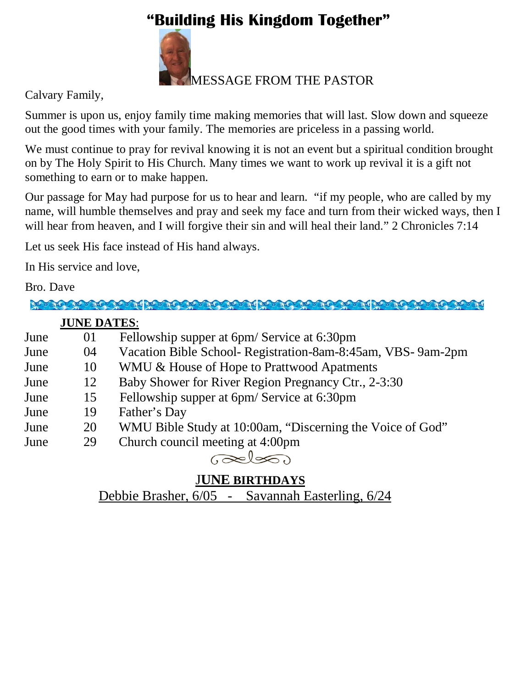# **"Building His Kingdom Together"**



Calvary Family,

Summer is upon us, enjoy family time making memories that will last. Slow down and squeeze out the good times with your family. The memories are priceless in a passing world.

We must continue to pray for revival knowing it is not an event but a spiritual condition brought on by The Holy Spirit to His Church. Many times we want to work up revival it is a gift not something to earn or to make happen.

Our passage for May had purpose for us to hear and learn. "if my people, who are called by my name, will humble themselves and pray and seek my face and turn from their wicked ways, then I will hear from heaven, and I will forgive their sin and will heal their land." 2 Chronicles 7:14

Let us seek His face instead of His hand always.

In His service and love,

#### Bro. Dave

**MOTOR MOTOR CONTRACTOR CONTRACTOR MOTOR CONTRACTOR** 

#### **JUNE DATES**:

| June | 01 | Fellowship supper at 6pm/Service at 6:30pm                  |
|------|----|-------------------------------------------------------------|
| June | 04 | Vacation Bible School- Registration-8am-8:45am, VBS-9am-2pm |
| June | 10 | WMU & House of Hope to Prattwood Apatments                  |
| June | 12 | Baby Shower for River Region Pregnancy Ctr., 2-3:30         |
| June | 15 | Fellowship supper at 6pm/Service at 6:30pm                  |
| June | 19 | Father's Day                                                |
| June | 20 | WMU Bible Study at 10:00am, "Discerning the Voice of God"   |
| June | 29 | Church council meeting at 4:00pm                            |
|      |    |                                                             |

## J**UNE BIRTHDAYS**

Debbie Brasher, 6/05 - Savannah Easterling, 6/24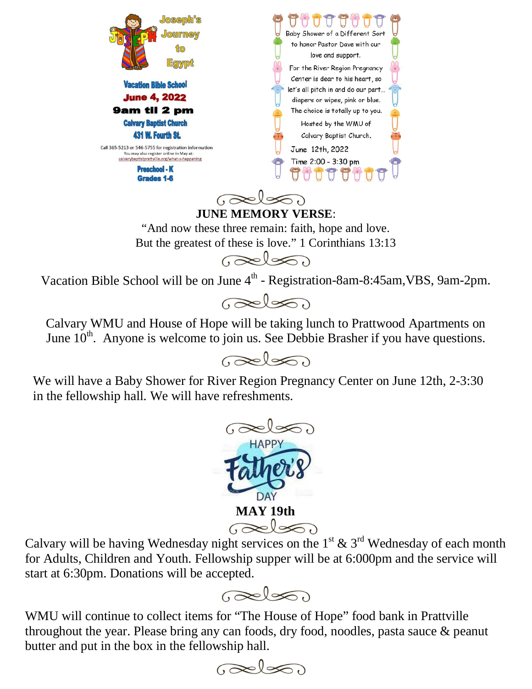

**JUNE MEMORY VERSE**: "And now these three remain: faith, hope and love. But the greatest of these is love." 1 Corinthians 13:13  $\odot \approx 1$ 

Vacation Bible School will be on June  $4^{\text{th}}$  - Registration-8am-8:45am, VBS, 9am-2pm.



Calvary WMU and House of Hope will be taking lunch to Prattwood Apartments on June  $10^{th}$ . Anyone is welcome to join us. See Debbie Brasher if you have questions.



We will have a Baby Shower for River Region Pregnancy Center on June 12th, 2-3:30 in the fellowship hall. We will have refreshments.



Calvary will be having Wednesday night services on the 1<sup>st</sup> & 3<sup>rd</sup> Wednesday of each month for Adults, Children and Youth. Fellowship supper will be at 6:000pm and the service will start at 6:30pm. Donations will be accepted.



WMU will continue to collect items for "The House of Hope" food bank in Prattville throughout the year. Please bring any can foods, dry food, noodles, pasta sauce & peanut butter and put in the box in the fellowship hall.

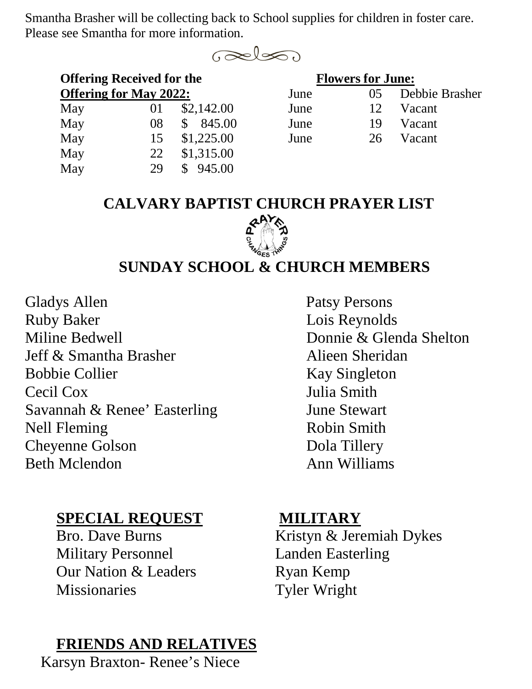Smantha Brasher will be collecting back to School supplies for children in foster care. Please see Smantha for more information.



| <b>Offering Received for the</b> |          |            | <b>Flowers for June:</b> |       |        |  |
|----------------------------------|----------|------------|--------------------------|-------|--------|--|
| <b>Offering for May 2022:</b>    |          |            | June                     | ( ) 5 | Debbie |  |
| May                              | $\Omega$ | \$2,142.00 | June                     | 12    | Vacant |  |
| May                              | 08       | 845.00     | June                     | 19    | Vacant |  |
| May                              | 15       | \$1,225.00 | June                     | 26    | Vacant |  |
| May                              | 22       | \$1,315.00 |                          |       |        |  |
| May                              | 29       | 945.00     |                          |       |        |  |

| <b>Offering for May 2022:</b> |                 |               | June | $\sqrt{0.5}$ | Debbie Brasher |
|-------------------------------|-----------------|---------------|------|--------------|----------------|
| May                           | 01              | \$2,142.00    | June | 12           | Vacant         |
| May                           | 08 <sup>1</sup> | \$ 845.00     | June | 19           | Vacant         |
| May                           |                 | 15 \$1,225.00 | June | 26           | Vacant         |

#### **CALVARY BAPTIST CHURCH PRAYER LIST**



## **SUNDAY SCHOOL & CHURCH MEMBERS**

Gladys Allen Patsy Persons Ruby Baker Lois Reynolds Miline Bedwell **Donnie & Glenda Shelton** Jeff & Smantha Brasher Alieen Sheridan Bobbie Collier Kay Singleton Cecil Cox Julia Smith Savannah & Renee' Easterling June Stewart Nell Fleming Robin Smith Cheyenne Golson Dola Tillery Beth Mclendon **Ann Williams** 

## **SPECIAL REQUEST MILITARY**

Military Personnel Landen Easterling Our Nation & Leaders **Ryan Kemp** Missionaries Tyler Wright

# **FRIENDS AND RELATIVES**

Karsyn Braxton- Renee's Niece

Bro. Dave Burns Kristyn & Jeremiah Dykes